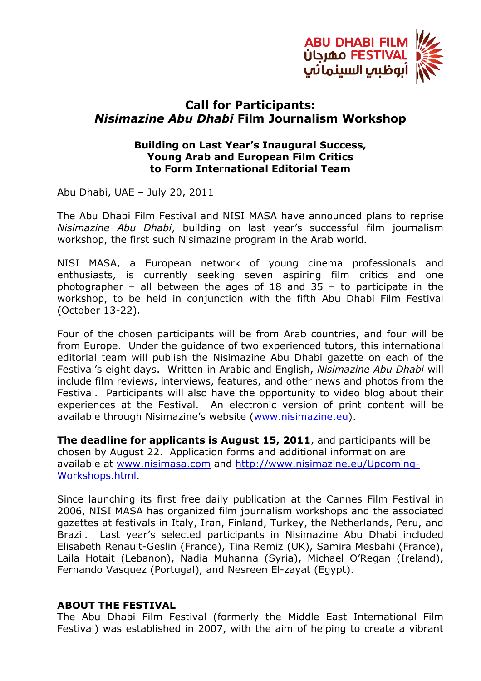

## **Call for Participants:**  *Nisimazine Abu Dhabi* **Film Journalism Workshop**

## **Building on Last Year's Inaugural Success, Young Arab and European Film Critics to Form International Editorial Team**

Abu Dhabi, UAE – July 20, 2011

The Abu Dhabi Film Festival and NISI MASA have announced plans to reprise *Nisimazine Abu Dhabi*, building on last year's successful film journalism workshop, the first such Nisimazine program in the Arab world.

NISI MASA, a European network of young cinema professionals and enthusiasts, is currently seeking seven aspiring film critics and one photographer – all between the ages of 18 and  $35$  – to participate in the workshop, to be held in conjunction with the fifth Abu Dhabi Film Festival (October 13-22).

Four of the chosen participants will be from Arab countries, and four will be from Europe. Under the guidance of two experienced tutors, this international editorial team will publish the Nisimazine Abu Dhabi gazette on each of the Festival's eight days. Written in Arabic and English, *Nisimazine Abu Dhabi* will include film reviews, interviews, features, and other news and photos from the Festival. Participants will also have the opportunity to video blog about their experiences at the Festival. An electronic version of print content will be available through Nisimazine's website (www.nisimazine.eu).

**The deadline for applicants is August 15, 2011**, and participants will be chosen by August 22. Application forms and additional information are available at www.nisimasa.com and http://www.nisimazine.eu/Upcoming-Workshops.html.

Since launching its first free daily publication at the Cannes Film Festival in 2006, NISI MASA has organized film journalism workshops and the associated gazettes at festivals in Italy, Iran, Finland, Turkey, the Netherlands, Peru, and Brazil. Last year's selected participants in Nisimazine Abu Dhabi included Elisabeth Renault-Geslin (France), Tina Remiz (UK), Samira Mesbahi (France), Laila Hotait (Lebanon), Nadia Muhanna (Syria), Michael O'Regan (Ireland), Fernando Vasquez (Portugal), and Nesreen El-zayat (Egypt).

## **ABOUT THE FESTIVAL**

The Abu Dhabi Film Festival (formerly the Middle East International Film Festival) was established in 2007, with the aim of helping to create a vibrant